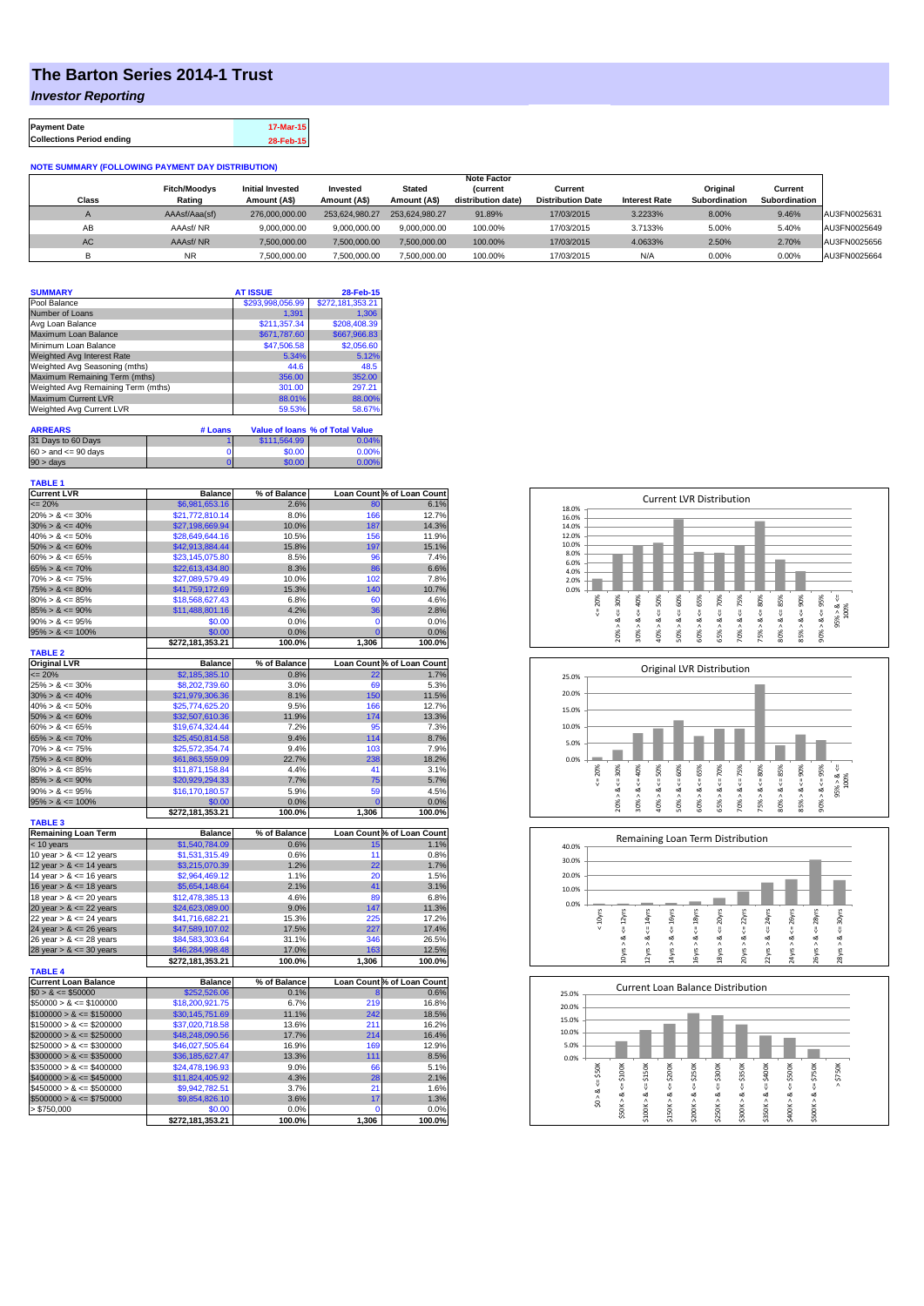## **The Barton Series 2014-1 Trust**

#### *Investor Reporting*

| <b>Payment Date</b>              | 17-Mar-15 |
|----------------------------------|-----------|
| <b>Collections Period ending</b> | 28-Feb-15 |

#### **NOTE SUMMARY (FOLLOWING PAYMENT DAY DISTRIBUTION)**

|           |                               |                                         |                          |                               | <b>Note Factor</b>                   |                                     |                      |                           |                          |              |
|-----------|-------------------------------|-----------------------------------------|--------------------------|-------------------------------|--------------------------------------|-------------------------------------|----------------------|---------------------------|--------------------------|--------------|
| Class     | <b>Fitch/Moodys</b><br>Rating | <b>Initial Invested</b><br>Amount (A\$) | Invested<br>Amount (A\$) | <b>Stated</b><br>Amount (A\$) | <b>Current</b><br>distribution date) | Current<br><b>Distribution Date</b> | <b>Interest Rate</b> | Original<br>Subordination | Current<br>Subordination |              |
| $\sim$    | AAAsf/Aaa(sf)                 | 276,000,000,00                          | 253.624.980.27           | 253.624.980.27                | 91.89%                               | 17/03/2015                          | 3.2233%              | 8.00%                     | 9.46%                    | AU3FN0025631 |
| AB        | AAAsf/NR                      | 9.000.000.00                            | 9.000.000.00             | 9.000.000.00                  | 100.00%                              | 17/03/2015                          | 3.7133%              | 5.00%                     | 5.40%                    | AU3FN0025649 |
| <b>AC</b> | AAAsf/NR                      | 7,500,000.00                            | 7.500.000.00             | 7.500.000.00                  | 100.00%                              | 17/03/2015                          | 4.0633%              | 2.50%                     | 2.70%                    | AU3FN0025656 |
|           | <b>NR</b>                     | 7,500,000.00                            | 7.500.000.00             | 7.500.000.00                  | 100.00%                              | 17/03/2015                          | N/A                  | 0.00%                     | 0.00%                    | AU3FN0025664 |

| <b>SUMMARY</b>                     |         | <b>AT ISSUE</b>  | 28-Feb-15                              |
|------------------------------------|---------|------------------|----------------------------------------|
| Pool Balance                       |         | \$293,998,056.99 | \$272,181,353.21                       |
| Number of Loans                    |         | 1.391            | 1.306                                  |
| Avg Loan Balance                   |         | \$211,357.34     | \$208,408.39                           |
| Maximum Loan Balance               |         | \$671,787.60     | \$667,966,83                           |
| Minimum Loan Balance               |         | \$47,506.58      | \$2,056.60                             |
| <b>Weighted Avg Interest Rate</b>  |         | 5.34%            | 5.12%                                  |
| Weighted Avg Seasoning (mths)      |         | 44.6             | 48.5                                   |
| Maximum Remaining Term (mths)      |         | 356.00           | 352.00                                 |
| Weighted Avg Remaining Term (mths) |         | 301.00           | 297.21                                 |
| Maximum Current LVR                |         | 88.01%           | 88.00%                                 |
| Weighted Avg Current LVR           |         | 59.53%           | 58.67%                                 |
|                                    |         |                  |                                        |
| <b>ARREARS</b>                     | # Loans |                  | <b>Value of loans % of Total Value</b> |
| 31 Days to 60 Days                 |         | \$111.564.99     | 0.04%                                  |

| nn na | $60 >$ and $\leq 90$ days | \$0.00 | 0.00% |
|-------|---------------------------|--------|-------|
|       | $90 > \text{days}$        |        |       |

| <b>TABLE 1</b><br><b>Current LVR</b>       | <b>Balance</b>                     | % of Balance  |                | Loan Count % of Loan Count |
|--------------------------------------------|------------------------------------|---------------|----------------|----------------------------|
| $= 20%$                                    | \$6,981,653.16                     | 2.6%          | 80             | 6.1%                       |
|                                            |                                    | 8.0%          |                |                            |
| $20\% > 8 \le 30\%$<br>$30\% > 8 \le 40\%$ | \$21,772,810.14<br>\$27,198,669.94 | 10.0%         | 166<br>187     | 12.7%<br>14.3%             |
| $40\% > 8 \le 50\%$                        | \$28,649,644.16                    | 10.5%         | 156            | 11.9%                      |
| $50\% > 8 \le 60\%$                        | \$42,913,884.44                    | 15.8%         | 197            | 15.1%                      |
| $60\% > 8 \le 65\%$                        | \$23,145,075.80                    | 8.5%          | 96             | 7.4%                       |
|                                            |                                    |               | 86             |                            |
| $65\% > 8 \le 70\%$<br>$70\% > 8 \le 75\%$ | \$22,613,434.80<br>\$27,089,579.49 | 8.3%<br>10.0% | 102            | 6.6%<br>7.8%               |
| $75\% > 8 \le 80\%$                        | \$41,759,172.69                    | 15.3%         | 140            | 10.7%                      |
| $80\% > 8 \le 85\%$                        | \$18,568,627.43                    | 6.8%          | 60             | 4.6%                       |
| $85\% > 8 \le 90\%$                        | \$11,488,801.16                    | 4.2%          | 36             | 2.8%                       |
| $90\% > 8 \le 95\%$                        | \$0.00                             | 0.0%          | 0              | 0.0%                       |
| $95\% > 8 \le 100\%$                       | \$0.00                             | 0.0%          | $\overline{0}$ | 0.0%                       |
|                                            | \$272,181,353.21                   | 100.0%        | 1,306          | 100.0%                     |
| <b>TABLE 2</b>                             |                                    |               |                |                            |
| <b>Original LVR</b>                        | <b>Balance</b>                     | % of Balance  |                | Loan Count % of Loan Count |
| $= 20%$                                    | \$2,185,385.10                     | 0.8%          | 22             | 1.7%                       |
| $25\% > 8 \le 30\%$                        | \$8,202,739.60                     | 3.0%          | 69             | 5.3%                       |
| $30\% > 8 \le 40\%$                        | \$21,979,306.36                    | 8.1%          | 150            | 11.5%                      |
| $40\% > 8 \le 50\%$                        | \$25.774.625.20                    | 9.5%          | 166            | 12.7%                      |
| $50\% > 8 \le 60\%$                        | \$32,507,610.36                    | 11.9%         | 174            | 13.3%                      |
| $60\% > 8 \le 65\%$                        | \$19,674,324.44                    | 7.2%          | 95             | 7.3%                       |
| $65\% > 8 \le 70\%$                        | \$25,450,814.58                    | 9.4%          | 114            | 8.7%                       |
| $70\% > 8 \le 75\%$                        | \$25,572,354.74                    | 9.4%          | 103            | 7.9%                       |
| $75\% > 8 \le 80\%$                        | \$61,863,559.09                    | 22.7%         | 238            | 18.2%                      |
| $80\% > 8 \le 85\%$                        | \$11,871,158.84                    | 4.4%          | 41             | 3.1%                       |
| $85\% > 8 \le 90\%$                        | \$20,929,294.33                    | 7.7%          | 75             | 5.7%                       |
| $90\% > 8 \le 95\%$                        | \$16,170,180.57                    | 5.9%          | 59             | 4.5%                       |
| $95\% > 8 \le 100\%$                       | \$0.00                             | 0.0%          | $\overline{0}$ | 0.0%                       |
|                                            | \$272,181,353.21                   | 100.0%        | 1,306          | 100.0%                     |
| <b>TABLE 3</b>                             |                                    |               |                |                            |
| <b>Remaining Loan Term</b>                 | <b>Balance</b>                     | % of Balance  |                | Loan Count % of Loan Count |
| < 10 years                                 | \$1,540,784.09                     | 0.6%          | 15             | 1.1%                       |
| 10 year $> 8 \le 12$ years                 | \$1,531,315.49                     | 0.6%          | 11             | 0.8%                       |
| 12 year $> 8 \le 14$ years                 | \$3,215,070.39                     | 1.2%          | 22             | 1.7%                       |
| 14 year $> 8 \le 16$ years                 | \$2,964,469.12                     | 1.1%          | 20             | 1.5%                       |
| 16 year $> 8 \le 18$ years                 | \$5,654,148.64                     | 2.1%          | 41             | 3.1%                       |
| 18 year $> 8 \le 20$ years                 | \$12,478,385.13                    | 4.6%          | 89             | 6.8%                       |
| 20 year $> 8 \le 22$ years                 | \$24,623,089.00                    | 9.0%          | 147            | 11.3%                      |
| 22 year $> 8 \le 24$ years                 | \$41.716.682.21                    | 15.3%         | 225            | 17.2%                      |
| 24 year $> 8 \le 26$ years                 | \$47,589,107.02                    | 17.5%         | 227            | 17.4%                      |
| 26 year $> 8 \le 28$ years                 | \$84,583,303.64                    | 31.1%         | 346            | 26.5%                      |
| 28 year $> 8 \le 30$ years                 | \$46,284,998.48                    | 17.0%         | 163            | 12.5%                      |
|                                            | \$272,181,353.21                   | 100.0%        | 1,306          | 100.0%                     |
| <b>TABLE 4</b>                             |                                    |               |                |                            |
| <b>Current Loan Balance</b>                | <b>Balance</b>                     | % of Balance  |                | Loan Count % of Loan Count |
| $$0 > 8 \le $50000$                        | \$252,526.06                       | 0.1%          | 8              | 0.6%                       |
| $$50000 > 8 \le $100000$                   | \$18,200,921.75                    | 6.7%          | 219            | 16.8%                      |
| $$100000 > 8 \le $150000$                  | \$30,145,751.69                    | 11.1%         | 242            | 18.5%                      |
| $$150000 > 8 \leq $200000$                 | \$37,020,718.58                    | 13.6%         | 211            | 16.2%                      |
| $$200000 > 8 \leq $250000$                 | \$48,248,090.56                    | 17.7%         | 214            | 16.4%                      |
| $$250000 > 8 \leq $300000$                 | \$46,027,505.64                    | 16.9%         | 169            | 12.9%                      |
| $$300000 > 8 \leq $350000$                 | \$36,185,627.47                    | 13.3%         | 111            | 8.5%                       |
| $$350000 > 8 \leq $400000$                 | \$24,478,196.93                    | 9.0%          | 66             | 5.1%                       |
| $$400000 > 8 \leq $450000$                 | \$11,824,405.92                    | 4.3%          | 28             | 2.1%                       |
| $$450000 > 8 \le $500000$                  | \$9,942,782.51                     | 3.7%          | 21             | 1.6%                       |
| $$500000 > 8 \leq $750000$                 | \$9,854,826.10                     | 3.6%          | 17             | 1.3%                       |
| > \$750,000                                | \$0.00                             | 0.0%          | $\mathbf 0$    | 0.0%                       |
|                                            | \$272,181,353.21                   | 100.0%        | 1,306          | 100.0%                     |